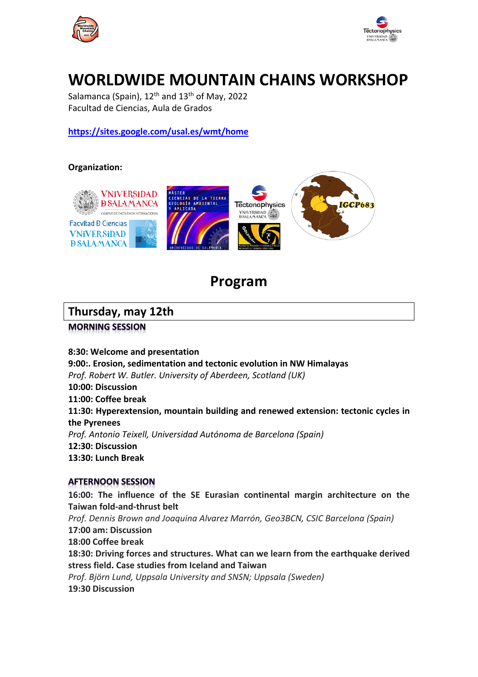



# **WORLDWIDE MOUNTAIN CHAINS WORKSHOP**

Salamanca (Spain),  $12<sup>th</sup>$  and  $13<sup>th</sup>$  of May, 2022 Facultad de Ciencias, Aula de Grados

**https://sites.google.com/usal.es/wmt/home**

#### **Organization:**



# **Program**

### **Thursday, may 12th**

**MORNING SESSION** 

#### **8:30: Welcome and presentation**

**9:00:. Erosion, sedimentation and tectonic evolution in NW Himalayas** *Prof. Robert W. Butler. University of Aberdeen, Scotland (UK)* **10:00: Discussion 11:00: Coffee break 11:30: Hyperextension, mountain building and renewed extension: tectonic cycles in the Pyrenees** *Prof. Antonio Teixell, Universidad Autónoma de Barcelona (Spain)* **12:30: Discussion 13:30: Lunch Break** 

#### **AFTERNOON SESSION**

**16:00: The influence of the SE Eurasian continental margin architecture on the Taiwan fold-and-thrust belt** *Prof. Dennis Brown and Joaquina Alvarez Marrón, Geo3BCN, CSIC Barcelona (Spain)* **17:00 am: Discussion 18:00 Coffee break 18:30: Driving forces and structures. What can we learn from the earthquake derived stress field. Case studies from Iceland and Taiwan** *Prof. Björn Lund, Uppsala University and SNSN; Uppsala (Sweden)* **19:30 Discussion**